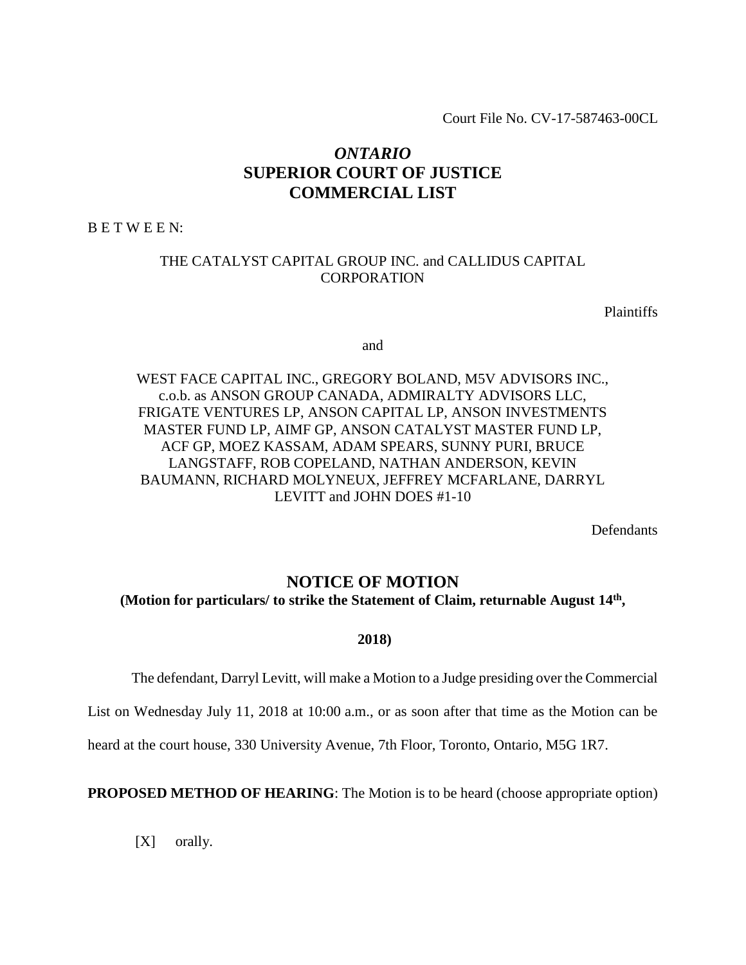Court File No. CV-17-587463-00CL

# *ONTARIO* **SUPERIOR COURT OF JUSTICE COMMERCIAL LIST**

B E T W E E N:

# THE CATALYST CAPITAL GROUP INC. and CALLIDUS CAPITAL CORPORATION

**Plaintiffs** 

and

# WEST FACE CAPITAL INC., GREGORY BOLAND, M5V ADVISORS INC., c.o.b. as ANSON GROUP CANADA, ADMIRALTY ADVISORS LLC, FRIGATE VENTURES LP, ANSON CAPITAL LP, ANSON INVESTMENTS MASTER FUND LP, AIMF GP, ANSON CATALYST MASTER FUND LP, ACF GP, MOEZ KASSAM, ADAM SPEARS, SUNNY PURI, BRUCE LANGSTAFF, ROB COPELAND, NATHAN ANDERSON, KEVIN BAUMANN, RICHARD MOLYNEUX, JEFFREY MCFARLANE, DARRYL LEVITT and JOHN DOES #1-10

Defendants

# **NOTICE OF MOTION (Motion for particulars/ to strike the Statement of Claim, returnable August 14th ,**

**2018)**

The defendant, Darryl Levitt, will make a Motion to a Judge presiding over the Commercial

List on Wednesday July 11, 2018 at 10:00 a.m., or as soon after that time as the Motion can be

heard at the court house, 330 University Avenue, 7th Floor, Toronto, Ontario, M5G 1R7.

**PROPOSED METHOD OF HEARING**: The Motion is to be heard (choose appropriate option)

[X] orally.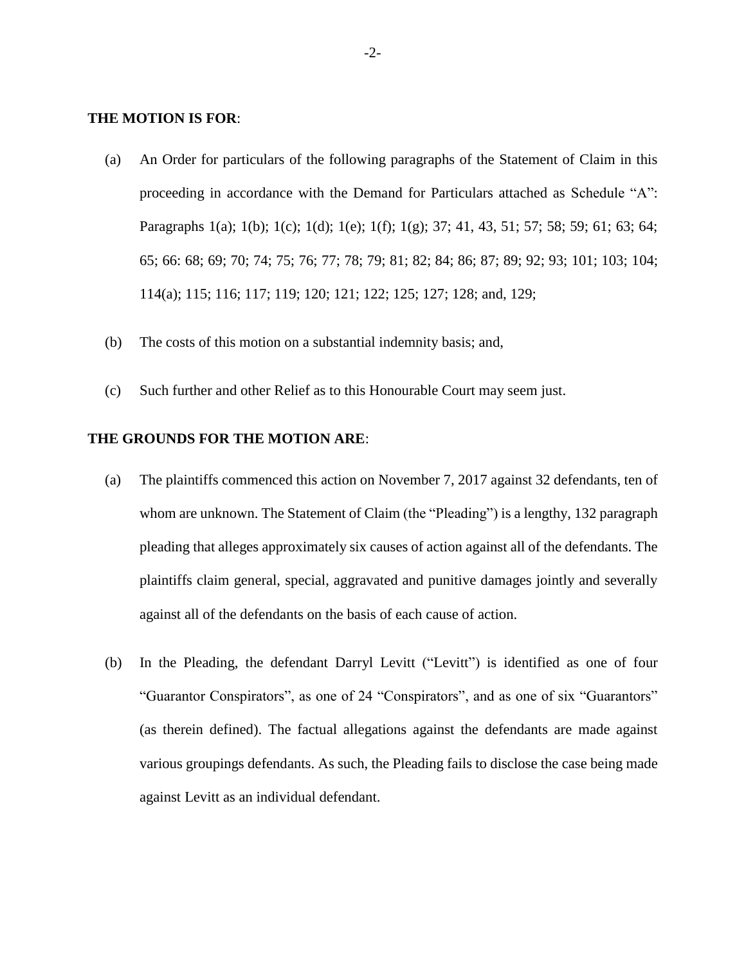#### **THE MOTION IS FOR**:

- (a) An Order for particulars of the following paragraphs of the Statement of Claim in this proceeding in accordance with the Demand for Particulars attached as Schedule "A": Paragraphs 1(a); 1(b); 1(c); 1(d); 1(e); 1(f); 1(g); 37; 41, 43, 51; 57; 58; 59; 61; 63; 64; 65; 66: 68; 69; 70; 74; 75; 76; 77; 78; 79; 81; 82; 84; 86; 87; 89; 92; 93; 101; 103; 104; 114(a); 115; 116; 117; 119; 120; 121; 122; 125; 127; 128; and, 129;
- (b) The costs of this motion on a substantial indemnity basis; and,
- (c) Such further and other Relief as to this Honourable Court may seem just.

#### **THE GROUNDS FOR THE MOTION ARE**:

- (a) The plaintiffs commenced this action on November 7, 2017 against 32 defendants, ten of whom are unknown. The Statement of Claim (the "Pleading") is a lengthy, 132 paragraph pleading that alleges approximately six causes of action against all of the defendants. The plaintiffs claim general, special, aggravated and punitive damages jointly and severally against all of the defendants on the basis of each cause of action.
- (b) In the Pleading, the defendant Darryl Levitt ("Levitt") is identified as one of four "Guarantor Conspirators", as one of 24 "Conspirators", and as one of six "Guarantors" (as therein defined). The factual allegations against the defendants are made against various groupings defendants. As such, the Pleading fails to disclose the case being made against Levitt as an individual defendant.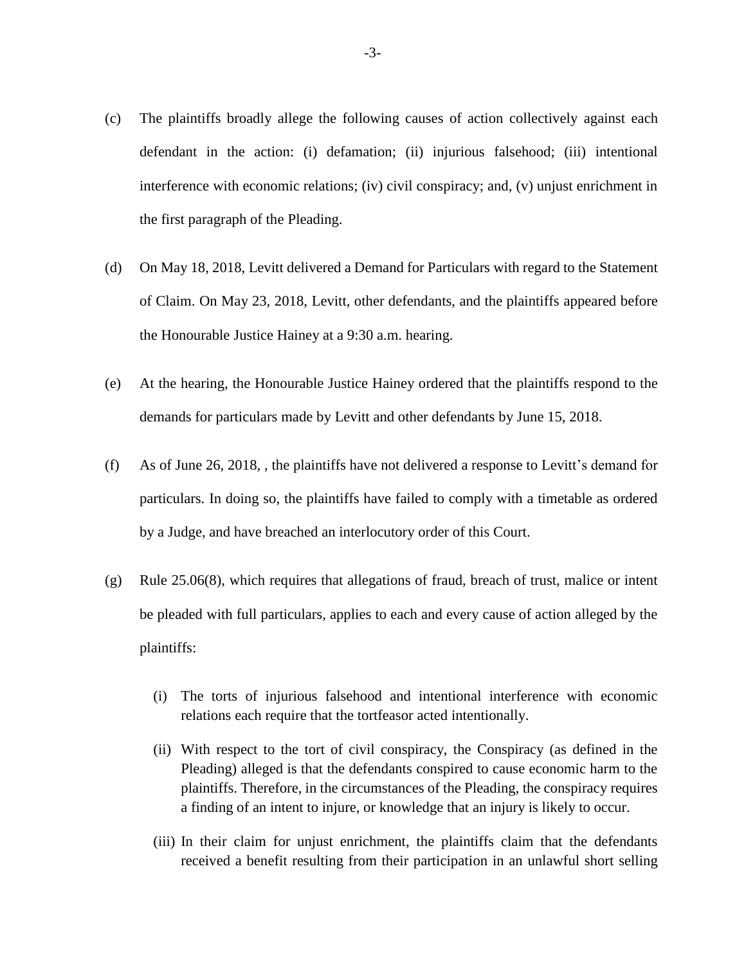- (c) The plaintiffs broadly allege the following causes of action collectively against each defendant in the action: (i) defamation; (ii) injurious falsehood; (iii) intentional interference with economic relations; (iv) civil conspiracy; and, (v) unjust enrichment in the first paragraph of the Pleading.
- (d) On May 18, 2018, Levitt delivered a Demand for Particulars with regard to the Statement of Claim. On May 23, 2018, Levitt, other defendants, and the plaintiffs appeared before the Honourable Justice Hainey at a 9:30 a.m. hearing.
- (e) At the hearing, the Honourable Justice Hainey ordered that the plaintiffs respond to the demands for particulars made by Levitt and other defendants by June 15, 2018.
- (f) As of June 26, 2018, , the plaintiffs have not delivered a response to Levitt's demand for particulars. In doing so, the plaintiffs have failed to comply with a timetable as ordered by a Judge, and have breached an interlocutory order of this Court.
- (g) Rule 25.06(8), which requires that allegations of fraud, breach of trust, malice or intent be pleaded with full particulars, applies to each and every cause of action alleged by the plaintiffs:
	- (i) The torts of injurious falsehood and intentional interference with economic relations each require that the tortfeasor acted intentionally.
	- (ii) With respect to the tort of civil conspiracy, the Conspiracy (as defined in the Pleading) alleged is that the defendants conspired to cause economic harm to the plaintiffs. Therefore, in the circumstances of the Pleading, the conspiracy requires a finding of an intent to injure, or knowledge that an injury is likely to occur.
	- (iii) In their claim for unjust enrichment, the plaintiffs claim that the defendants received a benefit resulting from their participation in an unlawful short selling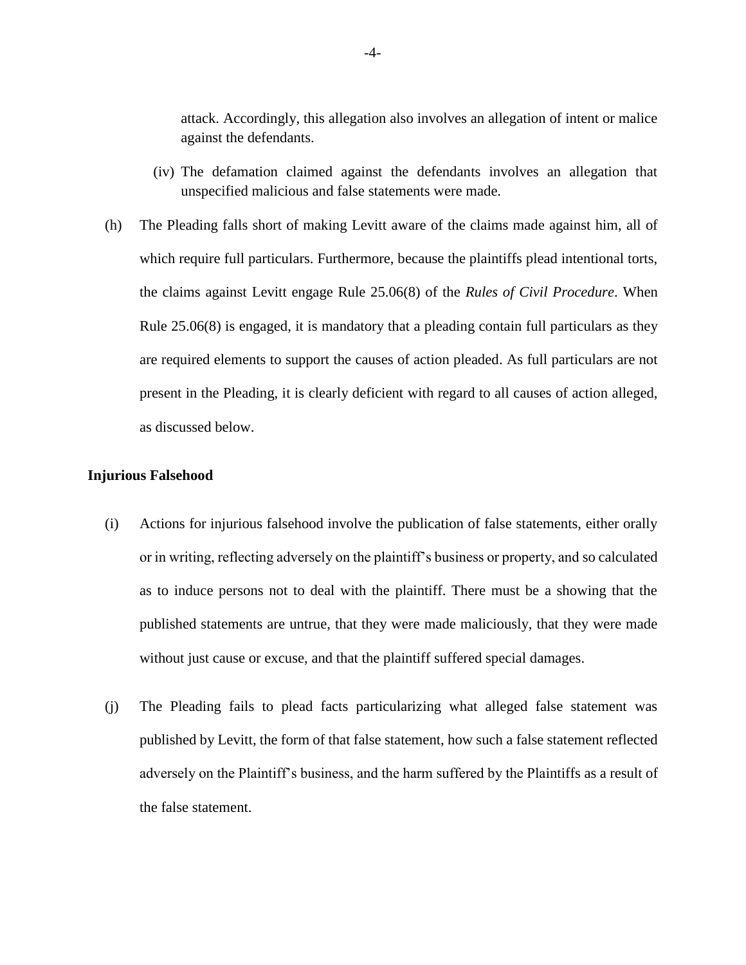attack. Accordingly, this allegation also involves an allegation of intent or malice against the defendants.

- (iv) The defamation claimed against the defendants involves an allegation that unspecified malicious and false statements were made.
- (h) The Pleading falls short of making Levitt aware of the claims made against him, all of which require full particulars. Furthermore, because the plaintiffs plead intentional torts, the claims against Levitt engage Rule 25.06(8) of the *Rules of Civil Procedure*. When Rule 25.06(8) is engaged, it is mandatory that a pleading contain full particulars as they are required elements to support the causes of action pleaded. As full particulars are not present in the Pleading, it is clearly deficient with regard to all causes of action alleged, as discussed below.

#### **Injurious Falsehood**

- (i) Actions for injurious falsehood involve the publication of false statements, either orally or in writing, reflecting adversely on the plaintiff's business or property, and so calculated as to induce persons not to deal with the plaintiff. There must be a showing that the published statements are untrue, that they were made maliciously, that they were made without just cause or excuse, and that the plaintiff suffered special damages.
- (j) The Pleading fails to plead facts particularizing what alleged false statement was published by Levitt, the form of that false statement, how such a false statement reflected adversely on the Plaintiff's business, and the harm suffered by the Plaintiffs as a result of the false statement.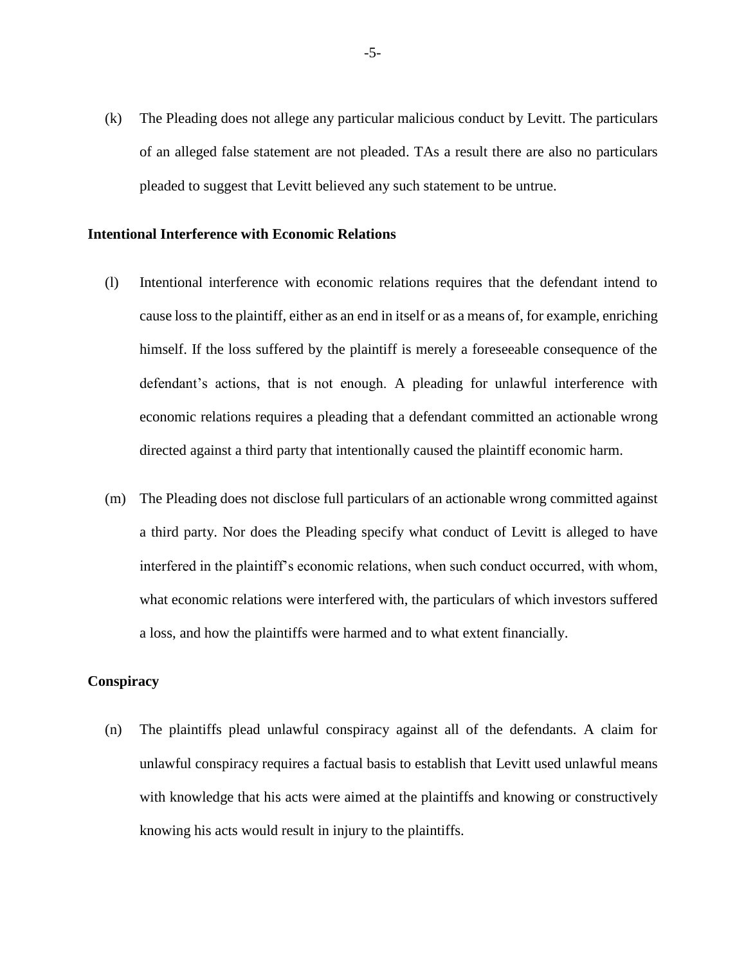(k) The Pleading does not allege any particular malicious conduct by Levitt. The particulars of an alleged false statement are not pleaded. TAs a result there are also no particulars pleaded to suggest that Levitt believed any such statement to be untrue.

#### **Intentional Interference with Economic Relations**

- (l) Intentional interference with economic relations requires that the defendant intend to cause loss to the plaintiff, either as an end in itself or as a means of, for example, enriching himself. If the loss suffered by the plaintiff is merely a foreseeable consequence of the defendant's actions, that is not enough. A pleading for unlawful interference with economic relations requires a pleading that a defendant committed an actionable wrong directed against a third party that intentionally caused the plaintiff economic harm.
- (m) The Pleading does not disclose full particulars of an actionable wrong committed against a third party. Nor does the Pleading specify what conduct of Levitt is alleged to have interfered in the plaintiff's economic relations, when such conduct occurred, with whom, what economic relations were interfered with, the particulars of which investors suffered a loss, and how the plaintiffs were harmed and to what extent financially.

#### **Conspiracy**

(n) The plaintiffs plead unlawful conspiracy against all of the defendants. A claim for unlawful conspiracy requires a factual basis to establish that Levitt used unlawful means with knowledge that his acts were aimed at the plaintiffs and knowing or constructively knowing his acts would result in injury to the plaintiffs.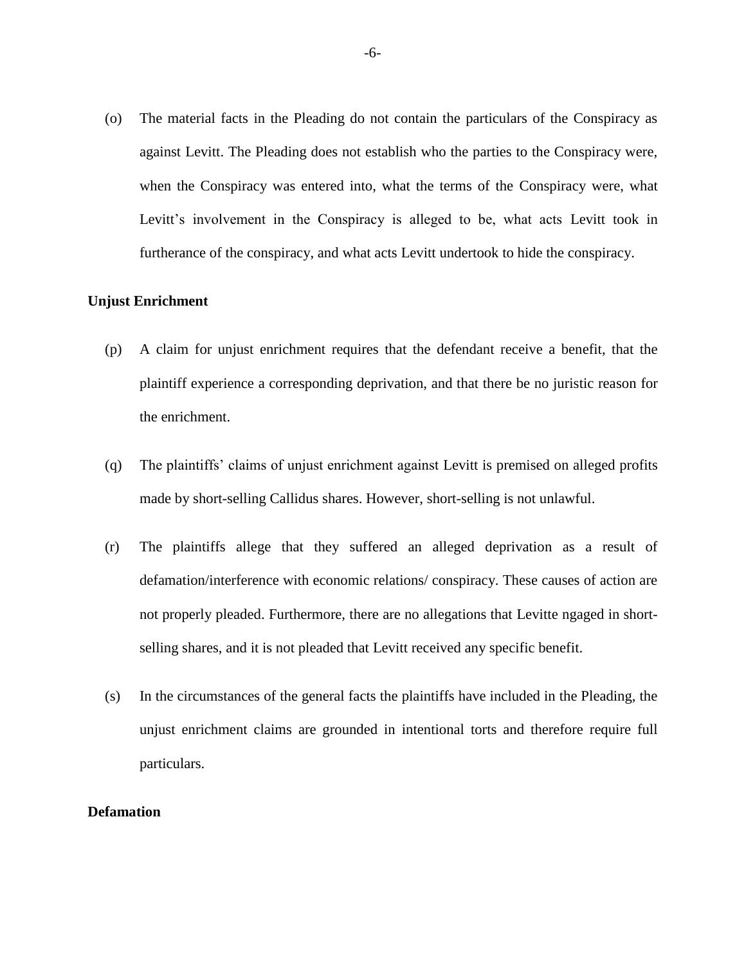(o) The material facts in the Pleading do not contain the particulars of the Conspiracy as against Levitt. The Pleading does not establish who the parties to the Conspiracy were, when the Conspiracy was entered into, what the terms of the Conspiracy were, what Levitt's involvement in the Conspiracy is alleged to be, what acts Levitt took in furtherance of the conspiracy, and what acts Levitt undertook to hide the conspiracy.

## **Unjust Enrichment**

- (p) A claim for unjust enrichment requires that the defendant receive a benefit, that the plaintiff experience a corresponding deprivation, and that there be no juristic reason for the enrichment.
- (q) The plaintiffs' claims of unjust enrichment against Levitt is premised on alleged profits made by short-selling Callidus shares. However, short-selling is not unlawful.
- (r) The plaintiffs allege that they suffered an alleged deprivation as a result of defamation/interference with economic relations/ conspiracy. These causes of action are not properly pleaded. Furthermore, there are no allegations that Levitte ngaged in shortselling shares, and it is not pleaded that Levitt received any specific benefit.
- (s) In the circumstances of the general facts the plaintiffs have included in the Pleading, the unjust enrichment claims are grounded in intentional torts and therefore require full particulars.

#### **Defamation**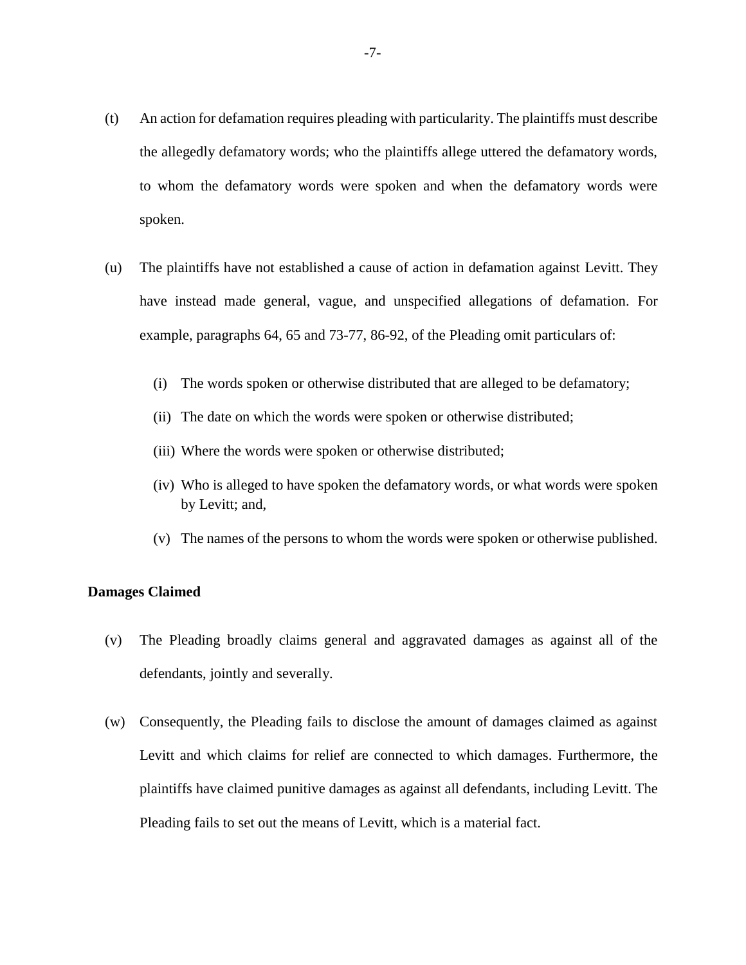- (t) An action for defamation requires pleading with particularity. The plaintiffs must describe the allegedly defamatory words; who the plaintiffs allege uttered the defamatory words, to whom the defamatory words were spoken and when the defamatory words were spoken.
- (u) The plaintiffs have not established a cause of action in defamation against Levitt. They have instead made general, vague, and unspecified allegations of defamation. For example, paragraphs 64, 65 and 73-77, 86-92, of the Pleading omit particulars of:
	- (i) The words spoken or otherwise distributed that are alleged to be defamatory;
	- (ii) The date on which the words were spoken or otherwise distributed;
	- (iii) Where the words were spoken or otherwise distributed;
	- (iv) Who is alleged to have spoken the defamatory words, or what words were spoken by Levitt; and,
	- (v) The names of the persons to whom the words were spoken or otherwise published.

#### **Damages Claimed**

- (v) The Pleading broadly claims general and aggravated damages as against all of the defendants, jointly and severally.
- (w) Consequently, the Pleading fails to disclose the amount of damages claimed as against Levitt and which claims for relief are connected to which damages. Furthermore, the plaintiffs have claimed punitive damages as against all defendants, including Levitt. The Pleading fails to set out the means of Levitt, which is a material fact.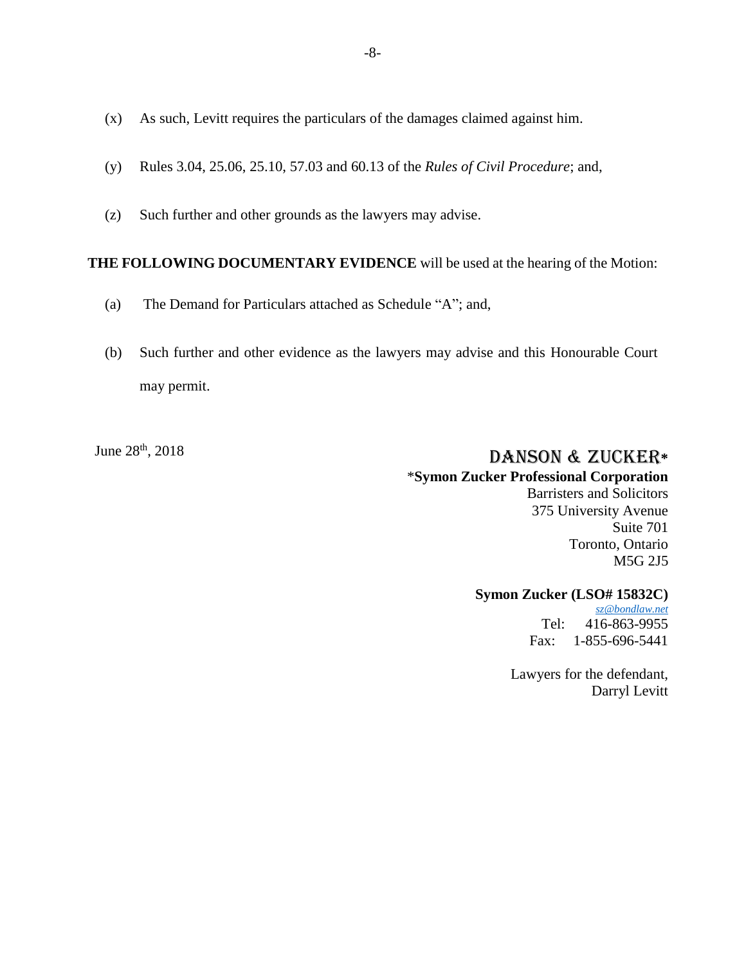- (x) As such, Levitt requires the particulars of the damages claimed against him.
- (y) Rules 3.04, 25.06, 25.10, 57.03 and 60.13 of the *Rules of Civil Procedure*; and,
- (z) Such further and other grounds as the lawyers may advise.

#### **THE FOLLOWING DOCUMENTARY EVIDENCE** will be used at the hearing of the Motion:

- (a) The Demand for Particulars attached as Schedule "A"; and,
- (b) Such further and other evidence as the lawyers may advise and this Honourable Court may permit.

# June 28<sup>th</sup>, 2018 **DANSON & ZUCKER**\*

#### \***Symon Zucker Professional Corporation**

Barristers and Solicitors 375 University Avenue Suite 701 Toronto, Ontario M5G 2J5

#### **Symon Zucker (LSO# 15832C)**

*[sz@bondlaw.net](mailto:sz@bondlaw.net)* Tel: 416-863-9955 Fax: 1-855-696-5441

Lawyers for the defendant, Darryl Levitt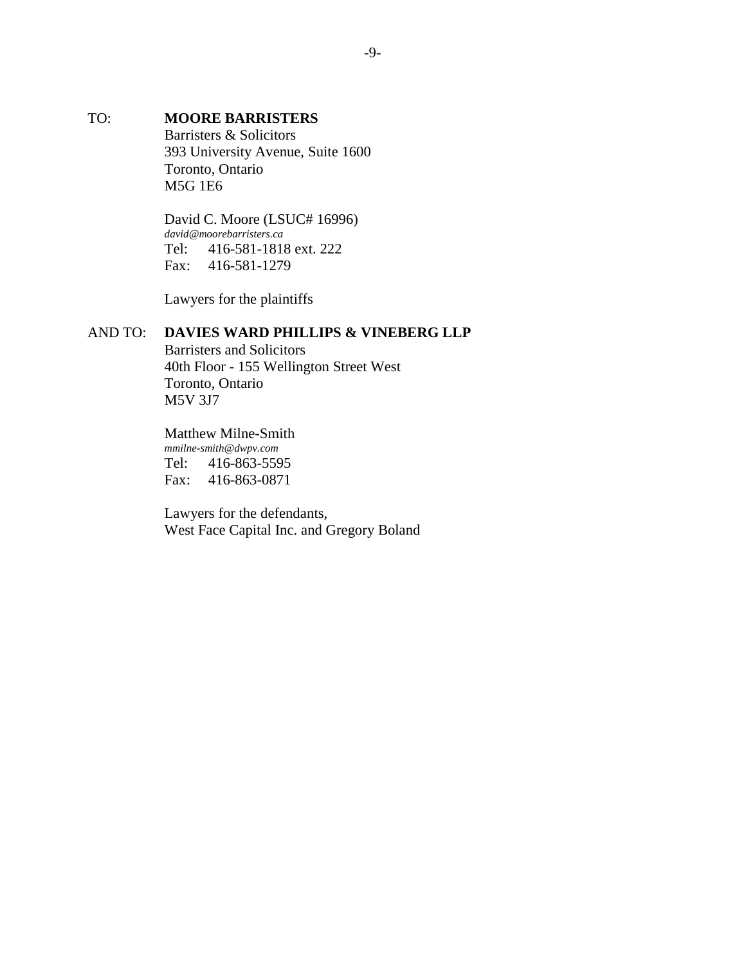# TO: **MOORE BARRISTERS**  Barristers & Solicitors 393 University Avenue, Suite 1600 Toronto, Ontario M5G 1E6

David C. Moore (LSUC# 16996) *david@moorebarristers.ca* Tel: 416-581-1818 ext. 222 Fax: 416-581-1279

Lawyers for the plaintiffs

# AND TO: **DAVIES WARD PHILLIPS & VINEBERG LLP**

Barristers and Solicitors 40th Floor - 155 Wellington Street West Toronto, Ontario M5V 3J7

Matthew Milne-Smith *mmilne-smith@dwpv.com* Tel: 416-863-5595 Fax: 416-863-0871

Lawyers for the defendants, West Face Capital Inc. and Gregory Boland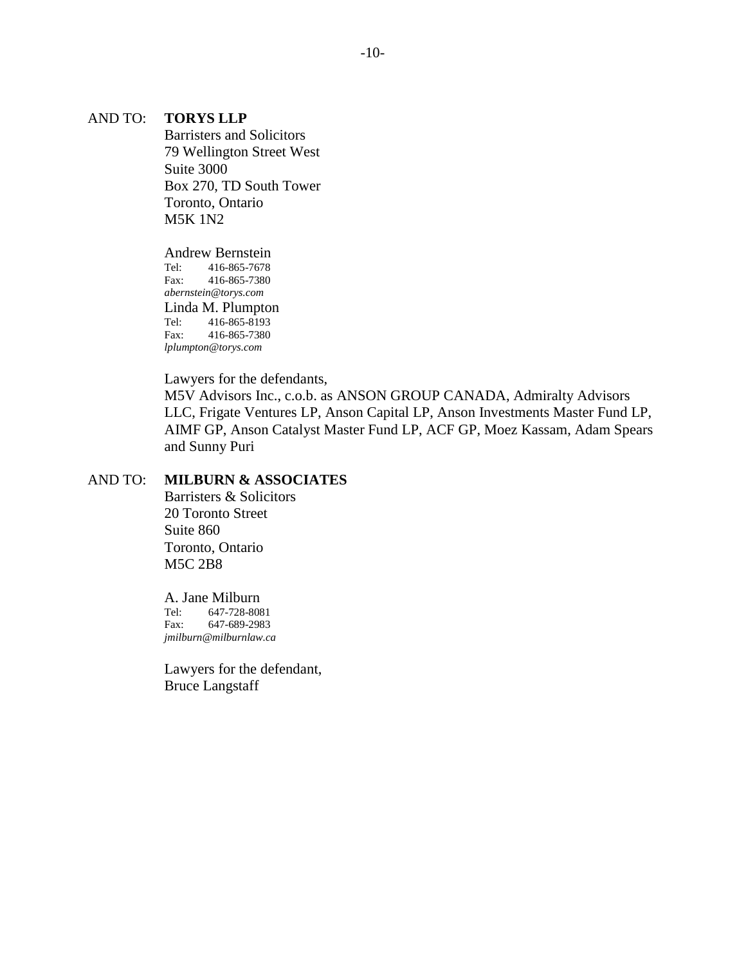#### AND TO: **TORYS LLP**

Barristers and Solicitors 79 Wellington Street West Suite 3000 Box 270, TD South Tower Toronto, Ontario M5K 1N2

Andrew Bernstein<br>Tel: 416-865-7678 Tel: 416-865-7678 Fax: 416-865-7380 *abernstein@torys.com* Linda M. Plumpton Tel: 416-865-8193<br>Fax: 416-865-7380 416-865-7380 *lplumpton@torys.com*

Lawyers for the defendants,

M5V Advisors Inc., c.o.b. as ANSON GROUP CANADA, Admiralty Advisors LLC, Frigate Ventures LP, Anson Capital LP, Anson Investments Master Fund LP, AIMF GP, Anson Catalyst Master Fund LP, ACF GP, Moez Kassam, Adam Spears and Sunny Puri

## AND TO: **MILBURN & ASSOCIATES**

Barristers & Solicitors 20 Toronto Street Suite 860 Toronto, Ontario M5C 2B8

# A. Jane Milburn<br>Tel: 647-728-808

Tel: 647-728-8081 Fax: 647-689-2983 *jmilburn@milburnlaw.ca*

Lawyers for the defendant, Bruce Langstaff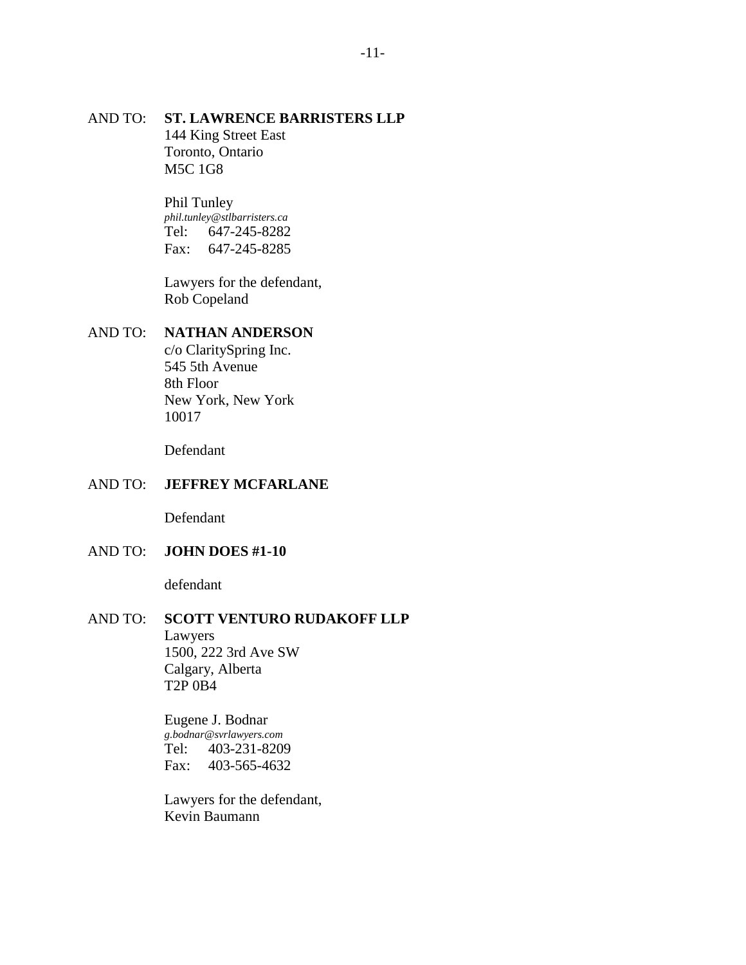#### AND TO: **ST. LAWRENCE BARRISTERS LLP** 144 King Street East Toronto, Ontario M5C 1G8

Phil Tunley *phil.tunley@stlbarristers.ca* Tel: 647-245-8282 Fax: 647-245-8285

Lawyers for the defendant, Rob Copeland

#### AND TO: **NATHAN ANDERSON**

c/o ClaritySpring Inc. 545 5th Avenue 8th Floor New York, New York 10017

Defendant

#### AND TO: **JEFFREY MCFARLANE**

Defendant

#### AND TO: **JOHN DOES #1-10**

defendant

# AND TO: **SCOTT VENTURO RUDAKOFF LLP**

Lawyers 1500, 222 3rd Ave SW Calgary, Alberta T2P 0B4

Eugene J. Bodnar *g.bodnar@svrlawyers.com* Tel: 403-231-8209 Fax: 403-565-4632

Lawyers for the defendant, Kevin Baumann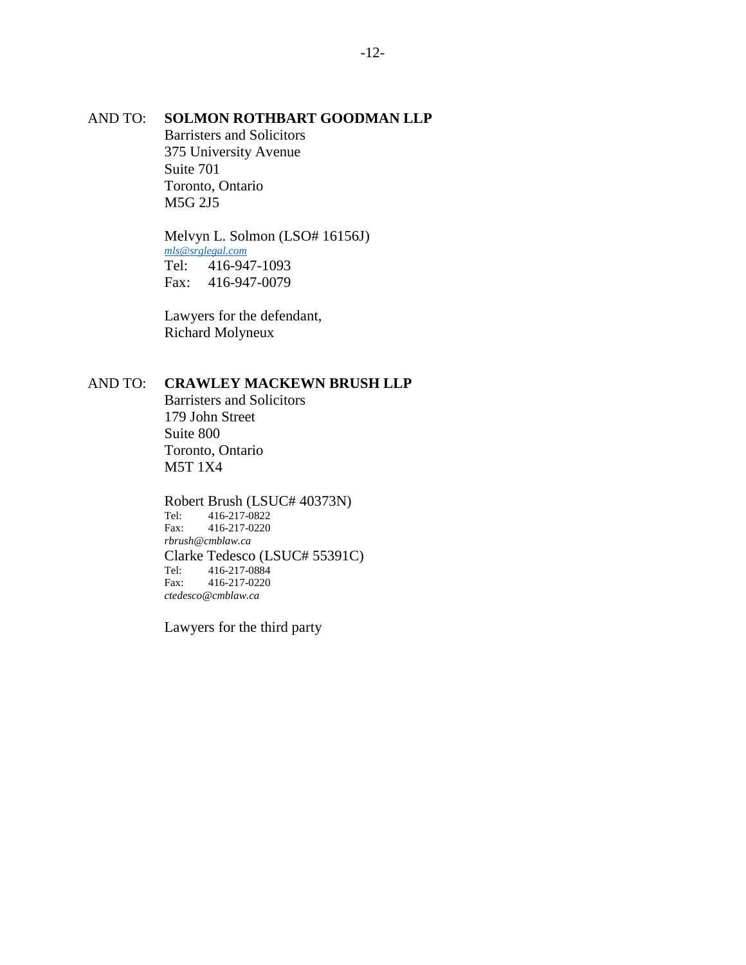#### AND TO: **SOLMON ROTHBART GOODMAN LLP**

Barristers and Solicitors 375 University Avenue Suite 701 Toronto, Ontario M5G 2J5

Melvyn L. Solmon (LSO# 16156J) *[mls@srglegal.com](mailto:mls@srglegal.com)* Tel: 416-947-1093 Fax: 416-947-0079

Lawyers for the defendant, Richard Molyneux

#### AND TO: **CRAWLEY MACKEWN BRUSH LLP**

Barristers and Solicitors 179 John Street Suite 800 Toronto, Ontario M5T 1X4

Robert Brush (LSUC# 40373N)<br>Tel: 416-217-0822 Tel: 416-217-0822 Fax: 416-217-0220 *rbrush@cmblaw.ca* Clarke Tedesco (LSUC# 55391C)<br>Tel: 416-217-0884 Tel: 416-217-0884<br>Fax: 416-217-0220 Fax: 416-217-0220 *ctedesco@cmblaw.ca*

Lawyers for the third party